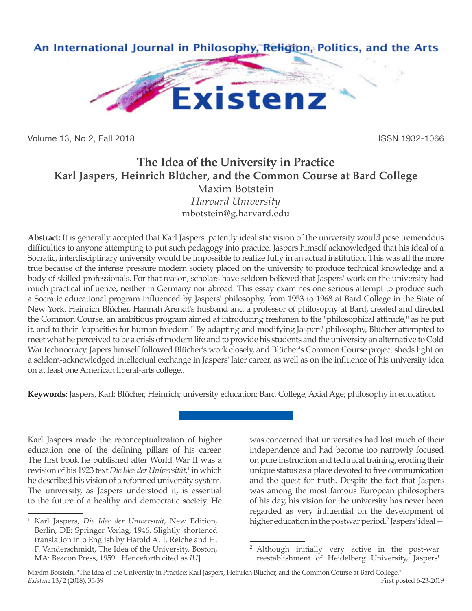

Volume 13, No 2, Fall 2018 ISSN 1932-1066

## **The Idea of the University in Practice Karl Jaspers, Heinrich Blücher, and the Common Course at Bard College** Maxim Botstein

*Harvard University* mbotstein@g.harvard.edu

**Abstract:** It is generally accepted that Karl Jaspers' patently idealistic vision of the university would pose tremendous difficulties to anyone attempting to put such pedagogy into practice. Jaspers himself acknowledged that his ideal of a Socratic, interdisciplinary university would be impossible to realize fully in an actual institution. This was all the more true because of the intense pressure modern society placed on the university to produce technical knowledge and a body of skilled professionals. For that reason, scholars have seldom believed that Jaspers' work on the university had much practical influence, neither in Germany nor abroad. This essay examines one serious attempt to produce such a Socratic educational program influenced by Jaspers' philosophy, from 1953 to 1968 at Bard College in the State of New York. Heinrich Blücher, Hannah Arendt's husband and a professor of philosophy at Bard, created and directed the Common Course, an ambitious program aimed at introducing freshmen to the "philosophical attitude," as he put it, and to their "capacities for human freedom." By adapting and modifying Jaspers' philosophy, Blücher attempted to meet what he perceived to be a crisis of modern life and to provide his students and the university an alternative to Cold War technocracy. Japers himself followed Blücher's work closely, and Blücher's Common Course project sheds light on a seldom-acknowledged intellectual exchange in Jaspers' later career, as well as on the influence of his university idea on at least one American liberal-arts college..

**Keywords:** Jaspers, Karl; Blücher, Heinrich; university education; Bard College; Axial Age; philosophy in education.

Karl Jaspers made the reconceptualization of higher education one of the defining pillars of his career. The first book he published after World War II was a revision of his 1923 text *Die Idee der Universität*, 1 in which he described his vision of a reformed university system. The university, as Jaspers understood it, is essential to the future of a healthy and democratic society. He was concerned that universities had lost much of their independence and had become too narrowly focused on pure instruction and technical training, eroding their unique status as a place devoted to free communication and the quest for truth. Despite the fact that Jaspers was among the most famous European philosophers of his day, his vision for the university has never been regarded as very influential on the development of higher education in the postwar period.<sup>2</sup> Jaspers' ideal -

<sup>1</sup> Karl Jaspers, *Die Idee der Universität*, New Edition, Berlin, DE: Springer Verlag, 1946. Slightly shortened translation into English by Harold A. T. Reiche and H. F. Vanderschmidt, The Idea of the University, Boston, MA: Beacon Press, 1959. [Henceforth cited as *IU*]

<sup>2</sup> Although initially very active in the post-war reestablishment of Heidelberg University, Jaspers'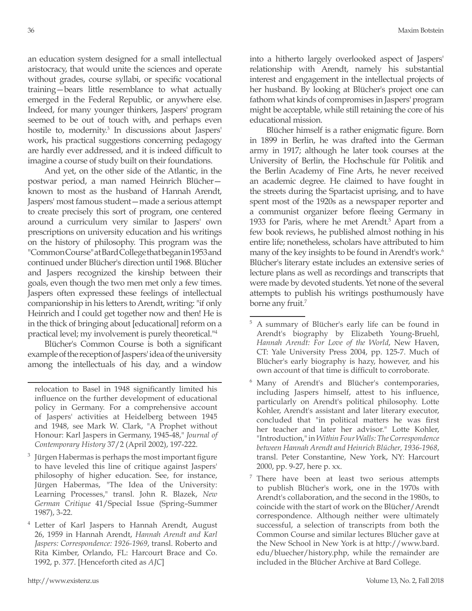an education system designed for a small intellectual aristocracy, that would unite the sciences and operate without grades, course syllabi, or specific vocational training—bears little resemblance to what actually emerged in the Federal Republic, or anywhere else. Indeed, for many younger thinkers, Jaspers' program seemed to be out of touch with, and perhaps even hostile to, modernity.<sup>3</sup> In discussions about Jaspers' work, his practical suggestions concerning pedagogy are hardly ever addressed, and it is indeed difficult to imagine a course of study built on their foundations.

And yet, on the other side of the Atlantic, in the postwar period, a man named Heinrich Blücher known to most as the husband of Hannah Arendt, Jaspers' most famous student—made a serious attempt to create precisely this sort of program, one centered around a curriculum very similar to Jaspers' own prescriptions on university education and his writings on the history of philosophy. This program was the "Common Course" at Bard College that began in 1953 and continued under Blücher's direction until 1968. Blücher and Jaspers recognized the kinship between their goals, even though the two men met only a few times. Jaspers often expressed these feelings of intellectual companionship in his letters to Arendt, writing: "if only Heinrich and I could get together now and then! He is in the thick of bringing about [educational] reform on a practical level; my involvement is purely theoretical."4

Blücher's Common Course is both a significant example of the reception of Jaspers' idea of the university among the intellectuals of his day, and a window

- $3$  Jürgen Habermas is perhaps the most important figure to have leveled this line of critique against Jaspers' philosophy of higher education. See, for instance, Jürgen Habermas, "The Idea of the University: Learning Processes," transl. John R. Blazek, *New German Critique* 41/Special Issue (Spring–Summer 1987), 3-22.
- <sup>4</sup> Letter of Karl Jaspers to Hannah Arendt, August 26, 1959 in Hannah Arendt, *Hannah Arendt and Karl Jaspers: Correspondence: 1926-1969*, transl. Roberto and Rita Kimber, Orlando, FL: Harcourt Brace and Co. 1992, p. 377. [Henceforth cited as *AJC*]

into a hitherto largely overlooked aspect of Jaspers' relationship with Arendt, namely his substantial interest and engagement in the intellectual projects of her husband. By looking at Blücher's project one can fathom what kinds of compromises in Jaspers' program might be acceptable, while still retaining the core of his educational mission.

Blücher himself is a rather enigmatic figure. Born in 1899 in Berlin, he was drafted into the German army in 1917; although he later took courses at the University of Berlin, the Hochschule für Politik and the Berlin Academy of Fine Arts, he never received an academic degree. He claimed to have fought in the streets during the Spartacist uprising, and to have spent most of the 1920s as a newspaper reporter and a communist organizer before fleeing Germany in 1933 for Paris, where he met Arendt.<sup>5</sup> Apart from a few book reviews, he published almost nothing in his entire life; nonetheless, scholars have attributed to him many of the key insights to be found in Arendt's work.<sup>6</sup> Blücher's literary estate includes an extensive series of lecture plans as well as recordings and transcripts that were made by devoted students. Yet none of the several attempts to publish his writings posthumously have borne any fruit.<sup>7</sup>

relocation to Basel in 1948 significantly limited his influence on the further development of educational policy in Germany. For a comprehensive account of Jaspers' activities at Heidelberg between 1945 and 1948, see Mark W. Clark, "A Prophet without Honour: Karl Jaspers in Germany, 1945-48," *Journal of Contemporary History* 37/2 (April 2002), 197-222.

<sup>5</sup> A summary of Blücher's early life can be found in Arendt's biography by Elizabeth Young-Bruehl, *Hannah Arendt: For Love of the World*, New Haven, CT: Yale University Press 2004, pp. 125-7. Much of Blücher's early biography is hazy, however, and his own account of that time is difficult to corroborate.

<sup>6</sup> Many of Arendt's and Blücher's contemporaries, including Jaspers himself, attest to his influence, particularly on Arendt's political philosophy. Lotte Kohler, Arendt's assistant and later literary executor, concluded that "in political matters he was first her teacher and later her advisor." Lotte Kohler, "Introduction," in *Within Four Walls: The Correspondence between Hannah Arendt and Heinrich Blücher, 1936-1968*, transl. Peter Constantine, New York, NY: Harcourt 2000, pp. 9-27, here p. xx.

 $7$  There have been at least two serious attempts to publish Blücher's work, one in the 1970s with Arendt's collaboration, and the second in the 1980s, to coincide with the start of work on the Blücher/Arendt correspondence. Although neither were ultimately successful, a selection of transcripts from both the Common Course and similar lectures Blücher gave at the New School in New York is at http://www.bard. edu/bluecher/history.php, while the remainder are included in the Blücher Archive at Bard College.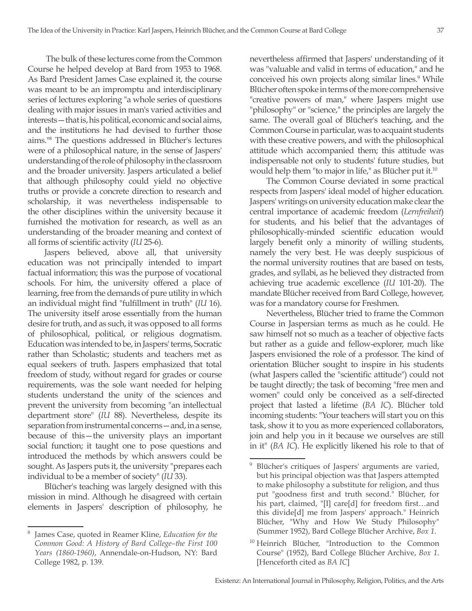The bulk of these lectures come from the Common Course he helped develop at Bard from 1953 to 1968. As Bard President James Case explained it, the course was meant to be an impromptu and interdisciplinary series of lectures exploring "a whole series of questions dealing with major issues in man's varied activities and interests—that is, his political, economic and social aims, and the institutions he had devised to further those aims."8 The questions addressed in Blücher's lectures were of a philosophical nature, in the sense of Jaspers' understanding of the role of philosophy in the classroom and the broader university. Jaspers articulated a belief that although philosophy could yield no objective truths or provide a concrete direction to research and scholarship, it was nevertheless indispensable to the other disciplines within the university because it furnished the motivation for research, as well as an understanding of the broader meaning and context of all forms of scientific activity (*IU* 25-6).

Jaspers believed, above all, that university education was not principally intended to impart factual information; this was the purpose of vocational schools. For him, the university offered a place of learning, free from the demands of pure utility in which an individual might find "fulfillment in truth" (*IU* 16). The university itself arose essentially from the human desire for truth, and as such, it was opposed to all forms of philosophical, political, or religious dogmatism. Education was intended to be, in Jaspers' terms, Socratic rather than Scholastic; students and teachers met as equal seekers of truth. Jaspers emphasized that total freedom of study, without regard for grades or course requirements, was the sole want needed for helping students understand the unity of the sciences and prevent the university from becoming "an intellectual department store" (*IU* 88). Nevertheless, despite its separation from instrumental concerns—and, in a sense, because of this—the university plays an important social function; it taught one to pose questions and introduced the methods by which answers could be sought. As Jaspers puts it, the university "prepares each individual to be a member of society" (*IU* 33).

Blücher's teaching was largely designed with this mission in mind. Although he disagreed with certain elements in Jaspers' description of philosophy, he

nevertheless affirmed that Jaspers' understanding of it was "valuable and valid in terms of education," and he conceived his own projects along similar lines.<sup>9</sup> While Blücher often spoke in terms of the more comprehensive "creative powers of man," where Jaspers might use "philosophy" or "science," the principles are largely the same. The overall goal of Blücher's teaching, and the Common Course in particular, was to acquaint students with these creative powers, and with the philosophical attitude which accompanied them; this attitude was indispensable not only to students' future studies, but would help them "to major in life," as Blücher put it.<sup>10</sup>

The Common Course deviated in some practical respects from Jaspers' ideal model of higher education. Jaspers' writings on university education make clear the central importance of academic freedom (*Lernfreiheit*) for students, and his belief that the advantages of philosophically-minded scientific education would largely benefit only a minority of willing students, namely the very best. He was deeply suspicious of the normal university routines that are based on tests, grades, and syllabi, as he believed they distracted from achieving true academic excellence (*IU* 101-20). The mandate Blücher received from Bard College, however, was for a mandatory course for Freshmen.

Nevertheless, Blücher tried to frame the Common Course in Jaspersian terms as much as he could. He saw himself not so much as a teacher of objective facts but rather as a guide and fellow-explorer, much like Jaspers envisioned the role of a professor. The kind of orientation Blücher sought to inspire in his students (what Jaspers called the "scientific attitude") could not be taught directly; the task of becoming "free men and women" could only be conceived as a self-directed project that lasted a lifetime (*BA IC*). Blücher told incoming students: "Your teachers will start you on this task, show it to you as more experienced collaborators, join and help you in it because we ourselves are still in it" (*BA IC*). He explicitly likened his role to that of

<sup>8</sup> James Case, quoted in Reamer Kline, *Education for the Common Good: A History of Bard College–the First 100 Years (1860-1960)*, Annendale-on-Hudson, NY: Bard College 1982, p. 139.

<sup>&</sup>lt;sup>9</sup> Blücher's critiques of Jaspers' arguments are varied, but his principal objection was that Jaspers attempted to make philosophy a substitute for religion, and thus put "goodness first and truth second." Blücher, for his part, claimed, "[I] care[d] for freedom first…and this divide[d] me from Jaspers' approach." Heinrich Blücher, "Why and How We Study Philosophy" (Summer 1952), Bard College Blücher Archive, *Box 1*.

<sup>&</sup>lt;sup>10</sup> Heinrich Blücher, "Introduction to the Common Course" (1952), Bard College Blücher Archive, *Box 1*. [Henceforth cited as *BA IC*]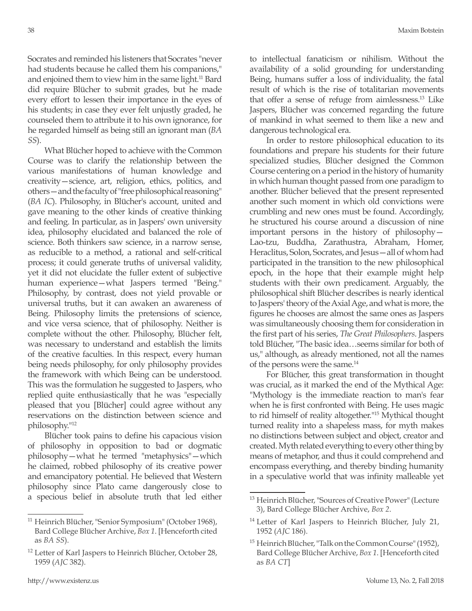Socrates and reminded his listeners that Socrates "never had students because he called them his companions," and enjoined them to view him in the same light.<sup>11</sup> Bard did require Blücher to submit grades, but he made every effort to lessen their importance in the eyes of his students; in case they ever felt unjustly graded, he counseled them to attribute it to his own ignorance, for he regarded himself as being still an ignorant man (*BA SS*).

What Blücher hoped to achieve with the Common Course was to clarify the relationship between the various manifestations of human knowledge and creativity—science, art, religion, ethics, politics, and others—and the faculty of "free philosophical reasoning" (*BA IC*). Philosophy, in Blücher's account, united and gave meaning to the other kinds of creative thinking and feeling. In particular, as in Jaspers' own university idea, philosophy elucidated and balanced the role of science. Both thinkers saw science, in a narrow sense, as reducible to a method, a rational and self-critical process; it could generate truths of universal validity, yet it did not elucidate the fuller extent of subjective human experience—what Jaspers termed "Being." Philosophy, by contrast, does not yield provable or universal truths, but it can awaken an awareness of Being. Philosophy limits the pretensions of science, and vice versa science, that of philosophy. Neither is complete without the other. Philosophy, Blücher felt, was necessary to understand and establish the limits of the creative faculties. In this respect, every human being needs philosophy, for only philosophy provides the framework with which Being can be understood. This was the formulation he suggested to Jaspers, who replied quite enthusiastically that he was "especially pleased that you [Blücher] could agree without any reservations on the distinction between science and philosophy."12

Blücher took pains to define his capacious vision of philosophy in opposition to bad or dogmatic philosophy—what he termed "metaphysics"—which he claimed, robbed philosophy of its creative power and emancipatory potential. He believed that Western philosophy since Plato came dangerously close to a specious belief in absolute truth that led either to intellectual fanaticism or nihilism. Without the availability of a solid grounding for understanding Being, humans suffer a loss of individuality, the fatal result of which is the rise of totalitarian movements that offer a sense of refuge from aimlessness.13 Like Jaspers, Blücher was concerned regarding the future of mankind in what seemed to them like a new and dangerous technological era.

In order to restore philosophical education to its foundations and prepare his students for their future specialized studies, Blücher designed the Common Course centering on a period in the history of humanity in which human thought passed from one paradigm to another. Blücher believed that the present represented another such moment in which old convictions were crumbling and new ones must be found. Accordingly, he structured his course around a discussion of nine important persons in the history of philosophy— Lao-tzu, Buddha, Zarathustra, Abraham, Homer, Heraclitus, Solon, Socrates, and Jesus—all of whom had participated in the transition to the new philosophical epoch, in the hope that their example might help students with their own predicament. Arguably, the philosophical shift Blücher describes is nearly identical to Jaspers' theory of the Axial Age, and what is more, the figures he chooses are almost the same ones as Jaspers was simultaneously choosing them for consideration in the first part of his series, *The Great Philosophers*. Jaspers told Blücher, "The basic idea…seems similar for both of us," although, as already mentioned, not all the names of the persons were the same.<sup>14</sup>

For Blücher, this great transformation in thought was crucial, as it marked the end of the Mythical Age: "Mythology is the immediate reaction to man's fear when he is first confronted with Being. He uses magic to rid himself of reality altogether."15 Mythical thought turned reality into a shapeless mass, for myth makes no distinctions between subject and object, creator and created. Myth related everything to every other thing by means of metaphor, and thus it could comprehend and encompass everything, and thereby binding humanity in a speculative world that was infinity malleable yet

<sup>11</sup> Heinrich Blücher, "Senior Symposium" (October 1968), Bard College Blücher Archive, *Box 1*. [Henceforth cited as *BA SS*).

<sup>&</sup>lt;sup>12</sup> Letter of Karl Jaspers to Heinrich Blücher, October 28, 1959 (*AJC* 382).

<sup>&</sup>lt;sup>13</sup> Heinrich Blücher, "Sources of Creative Power" (Lecture 3), Bard College Blücher Archive, *Box 2*.

<sup>&</sup>lt;sup>14</sup> Letter of Karl Jaspers to Heinrich Blücher, July 21, 1952 (*AJC* 186).

<sup>&</sup>lt;sup>15</sup> Heinrich Blücher, "Talk on the Common Course" (1952), Bard College Blücher Archive, *Box 1*. [Henceforth cited as *BA CT*]